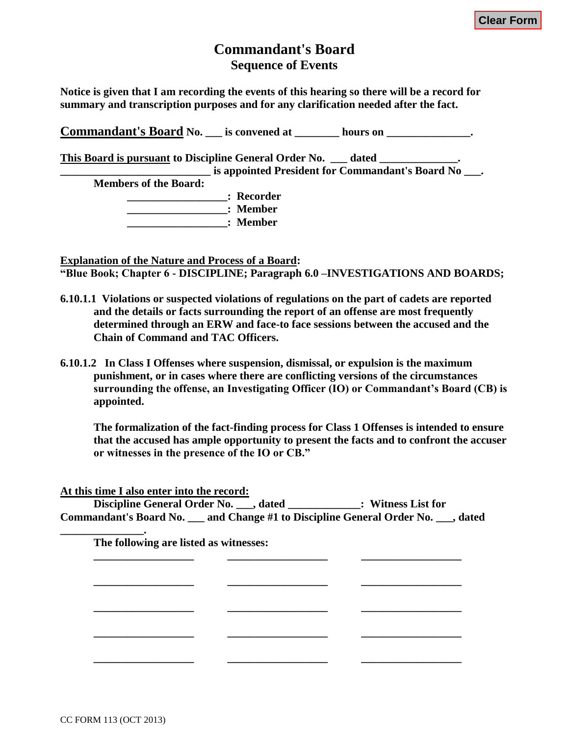# **Commandant's Board Sequence of Events**

**Notice is given that I am recording the events of this hearing so there will be a record for summary and transcription purposes and for any clarification needed after the fact.**

**Commandant's Board No. is convened at**  \_\_\_\_\_\_ hours on  $\cdot$  . **This Board is pursuant to Discipline General Order No. \_\_\_ dated \_\_\_\_\_\_\_\_\_\_\_\_\_\_. commandant's Board No**  $\blacksquare$  **is appointed President for Commandant's Board No Members of the Board: \_\_\_\_\_\_\_\_\_\_\_\_\_\_\_\_\_\_: Recorder \_\_\_\_\_\_\_\_\_\_\_\_\_\_\_\_\_\_: Member \_\_\_\_\_\_\_\_\_\_\_\_\_\_\_\_\_\_: Member**

**Explanation of the Nature and Process of a Board: "Blue Book; Chapter 6 - DISCIPLINE; Paragraph 6.0 –INVESTIGATIONS AND BOARDS;** 

- **6.10.1.1 Violations or suspected violations of regulations on the part of cadets are reported and the details or facts surrounding the report of an offense are most frequently determined through an ERW and face-to face sessions between the accused and the Chain of Command and TAC Officers.**
- **6.10.1.2 In Class I Offenses where suspension, dismissal, or expulsion is the maximum punishment, or in cases where there are conflicting versions of the circumstances surrounding the offense, an Investigating Officer (IO) or Commandant's Board (CB) is appointed.**

**The formalization of the fact-finding process for Class 1 Offenses is intended to ensure that the accused has ample opportunity to present the facts and to confront the accuser or witnesses in the presence of the IO or CB."**

**At this time I also enter into the record:**

**Discipline General Order No. \_\_\_, dated \_\_\_\_\_\_\_\_\_\_\_\_\_: Witness List for Commandant's Board No. \_\_\_ and Change #1 to Discipline General Order No. \_\_\_, dated** 

| The following are listed as witnesses: |  |  |
|----------------------------------------|--|--|
|                                        |  |  |
|                                        |  |  |
|                                        |  |  |
|                                        |  |  |
|                                        |  |  |

**\_\_\_\_\_\_\_\_\_\_\_\_\_\_\_.**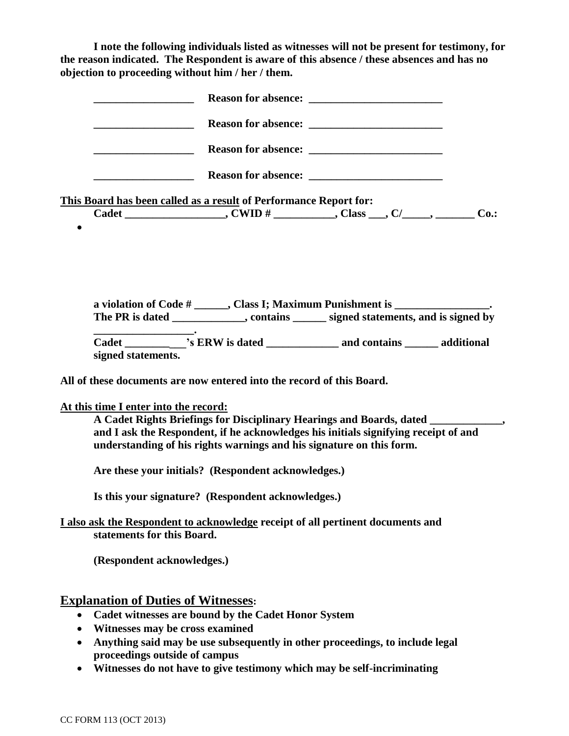**I note the following individuals listed as witnesses will not be present for testimony, for the reason indicated. The Respondent is aware of this absence / these absences and has no objection to proceeding without him / her / them.**

|           | <b>Reason for absence:</b>                                                                                                                                                |  |
|-----------|---------------------------------------------------------------------------------------------------------------------------------------------------------------------------|--|
|           |                                                                                                                                                                           |  |
|           |                                                                                                                                                                           |  |
|           |                                                                                                                                                                           |  |
|           | This Board has been called as a result of Performance Report for:                                                                                                         |  |
| $\bullet$ | Cadet ____________________, CWID # __________, Class ___, C/_____, ________ Co.:                                                                                          |  |
|           | a violation of Code # ______, Class I; Maximum Punishment is ___________________<br>The PR is dated _____________, contains ______ signed statements, and is signed by    |  |
|           | Cadet _____________'s ERW is dated ________________ and contains _______ additional<br>signed statements.                                                                 |  |
|           | All of these documents are now entered into the record of this Board.                                                                                                     |  |
|           | At this time I enter into the record:                                                                                                                                     |  |
|           | A Cadet Rights Briefings for Disciplinary Hearings and Boards, dated ____________,<br>and I ask the Respondent, if he acknowledges his initials signifying receipt of and |  |
|           | understanding of his rights warnings and his signature on this form.                                                                                                      |  |
|           | Are these your initials? (Respondent acknowledges.)                                                                                                                       |  |
|           | Is this your signature? (Respondent acknowledges.)                                                                                                                        |  |
|           | I also ask the Respondent to acknowledge receipt of all pertinent documents and                                                                                           |  |

**statements for this Board.**

**(Respondent acknowledges.)**

## **Explanation of Duties of Witnesses:**

- **Cadet witnesses are bound by the Cadet Honor System**
- **Witnesses may be cross examined**
- **Anything said may be use subsequently in other proceedings, to include legal proceedings outside of campus**
- **Witnesses do not have to give testimony which may be self-incriminating**